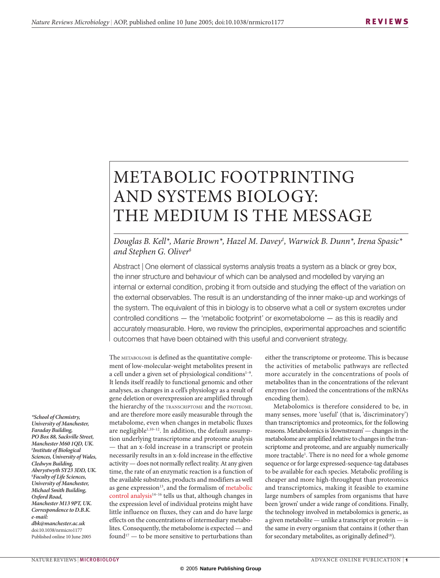# METABOLIC FOOTPRINTING AND SYSTEMS BIOLOGY: THE MEDIUM IS THE MESSAGE

# *Douglas B. Kell\*, Marie Brown\*, Hazel M. Davey‡ , Warwick B. Dunn\*, Irena Spasic\* and Stephen G. Oliver§*

Abstract | One element of classical systems analysis treats a system as a black or grey box, the inner structure and behaviour of which can be analysed and modelled by varying an internal or external condition, probing it from outside and studying the effect of the variation on the external observables. The result is an understanding of the inner make-up and workings of the system. The equivalent of this in biology is to observe what a cell or system excretes under controlled conditions — the 'metabolic footprint' or exometabolome — as this is readily and accurately measurable. Here, we review the principles, experimental approaches and scientific outcomes that have been obtained with this useful and convenient strategy.

The METABOLOME is defined as the quantitative complement of low-molecular-weight metabolites present in a cell under a given set of physiological conditions<sup>1-9</sup>. It lends itself readily to functional genomic and other analyses, as changes in a cell's physiology as a result of gene deletion or overexpression are amplified through the hierarchy of the TRANSCRIPTOME and the PROTEOME, and are therefore more easily measurable through the metabolome, even when changes in metabolic fluxes are negligible<sup>1,10-12</sup>. In addition, the default assumption underlying transcriptome and proteome analysis — that an x-fold increase in a transcript or protein necessarily results in an x-fold increase in the effective activity — does not normally reflect reality. At any given time, the rate of an enzymatic reaction is a function of the available substrates, products and modifiers as well as gene expression<sup>13</sup>, and the formalism of metabolic control analysis<sup>14-16</sup> tells us that, although changes in the expression level of individual proteins might have little influence on fluxes, they can and do have large effects on the concentrations of intermediary metabolites. Consequently, the metabolome is expected — and found<sup>17</sup> — to be more sensitive to perturbations than either the transcriptome or proteome. This is because the activities of metabolic pathways are reflected more accurately in the concentrations of pools of metabolites than in the concentrations of the relevant enzymes (or indeed the concentrations of the mRNAs encoding them).

Metabolomics is therefore considered to be, in many senses, more 'useful' (that is, 'discriminatory') than transcriptomics and proteomics, for the following reasons. Metabolomics is 'downstream' — changes in the metabolome are amplified relative to changes in the transcriptome and proteome, and are arguably numerically more tractable<sup>1</sup>. There is no need for a whole genome sequence or for large expressed-sequence-tag databases to be available for each species. Metabolic profiling is cheaper and more high-throughput than proteomics and transcriptomics, making it feasible to examine large numbers of samples from organisms that have been 'grown' under a wide range of conditions. Finally, the technology involved in metabolomics is generic, as a given metabolite — unlike a transcript or protein — is the same in every organism that contains it (other than for secondary metabolites, as originally defined<sup>18</sup>).

*\*School of Chemistry, University of Manchester, Faraday Building, PO Box 88, Sackville Street, Manchester M60 1QD, UK. ‡ Institute of Biological Sciences, University of Wales, Cledwyn Building, Aberystwyth SY23 3DD, UK. § Faculty of Life Sciences, University of Manchester, Michael Smith Building, Oxford Road, Manchester M13 9PT, UK. Correspondence to D.B.K. e-mail: dbk@manchester.ac.uk* doi:10.1038/nrmicro1177 Published online 10 June 2005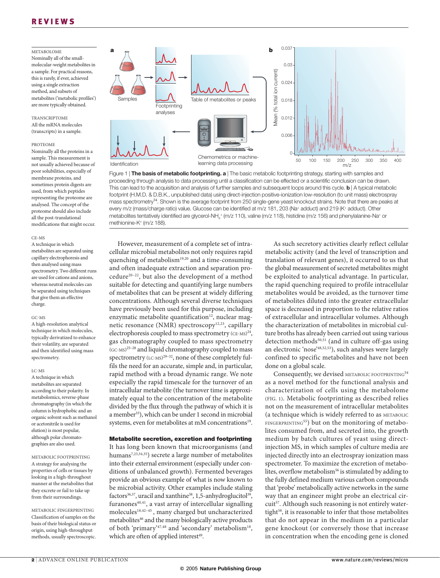## METABOLOME

Nominally all of the smallmolecular-weight metabolites in a sample. For practical reasons, this is rarely, if ever, achieved using a single extraction method, and subsets of metabolites ('metabolic profiles') are more typically obtained.

TRANSCRIPTOME All the mRNA molecules (transcripts) in a sample.

#### PROTEOME

Nominally all the proteins in a sample. This measurement is not usually achieved because of poor solubilities, especially of membrane proteins, and sometimes protein digests are used, from which peptides representing the proteome are analysed. The concept of the proteome should also include all the post-translational modifications that might occur.

#### CE-MS

A technique in which metabolites are separated using capillary electrophoresis and then analysed using mass spectrometry. Two different runs are used for cations and anions, whereas neutral molecules can be separated using techniques that give them an effective charge.

## GC-MS

A high-resolution analytical technique in which molecules, typically derivatized to enhance their volatility, are separated and then identified using mass spectrometry.

#### $LC-MS$

A technique in which metabolites are separated according to their polarity. In metabolomics, reverse-phase chromatography (in which the column is hydrophobic and an organic solvent such as methanol or acetonitrile is used for elution) is most popular, although polar chromatographies are also used.

METABOLIC FOOTPRINTING A strategy for analysing the properties of cells or tissues by looking in a high-throughout manner at the metabolites that they excrete or fail to take up from their surroundings.

METABOLIC FINGERPRINTING Classification of samples on the basis of their biological status or origin, using high-throughput methods, usually spectroscopic.



Figure 1 | **The basis of metabolic footprinting. a** | The basic metabolic footprinting strategy, starting with samples and proceeding through analysis to data processing until a classification can be effected or a scientific conclusion can be drawn. This can lead to the acquisition and analysis of further samples and subsequent loops around this cycle. **b** | A typical metabolic footprint (H.M.D. & D.B.K., unpublished data) using direct-injection positive-ionization low-resolution (to unit mass) electrospray mass spectrometry<sup>54</sup>. Shown is the average footprint from 250 single-gene yeast knockout strains. Note that there are peaks at every m/z (mass/charge ratio) value. Glucose can be identified at m/z 181, 203 (Na<sup>+</sup> adduct) and 219 (K<sup>+</sup> adduct). Other metabolites tentatively identified are glycerol-NH $_4^+$  (m/z 110), valine (m/z 118), histidine (m/z 156) and phenylalanine-Na+ or methionine-K+ (m/z 188).

However, measurement of a complete set of intracellular microbial metabolites not only requires rapid quenching of metabolism<sup>19,20</sup> and a time-consuming and often inadequate extraction and separation procedure20–22, but also the development of a method suitable for detecting and quantifying large numbers of metabolites that can be present at widely differing concentrations. Although several diverse techniques have previously been used for this purpose, including enzymatic metabolite quantification<sup>12</sup>, nuclear magnetic resonance (NMR) spectroscopy<sup>12,23</sup>, capillary electrophoresis coupled to mass spectrometry (CE-MS)<sup>24</sup>, gas chromatography coupled to mass spectrometry (GC-MS)<sup>25-28</sup> and liquid chromatography coupled to mass spectrometry (LC-MS)<sup>29-32</sup>, none of these completely fulfils the need for an accurate, simple and, in particular, rapid method with a broad dynamic range. We note especially the rapid timescale for the turnover of an intracellular metabolite (the turnover time is approximately equal to the concentration of the metabolite divided by the flux through the pathway of which it is a member<sup>33</sup>), which can be under 1 second in microbial systems, even for metabolites at mM concentrations<sup>19</sup>.

## **Metabolite secretion, excretion and footprinting**

It has long been known that microorganisms (and humans<sup>7,23,34,35</sup>) secrete a large number of metabolites into their external environment (especially under conditions of unbalanced growth). Fermented beverages provide an obvious example of what is now known to be microbial activity. Other examples include staling factors<sup>36,37</sup>, uracil and xanthine<sup>38</sup>, 1,5-anhydroglucitol<sup>39</sup>, furanones $40,41$ , a vast array of intercellular signalling molecules<sup>18,42-45</sup>, many charged but uncharacterized metabolites<sup>46</sup> and the many biologically active products of both 'primary'<sup>47,48</sup> and 'secondary' metabolism<sup>18</sup>, which are often of applied interest<sup>49</sup>.

As such secretory activities clearly reflect cellular metabolic activity (and the level of transcription and translation of relevant genes), it occurred to us that the global measurement of secreted metabolites might be exploited to analytical advantage. In particular, the rapid quenching required to profile intracellular metabolites would be avoided, as the turnover time of metabolites diluted into the greater extracellular space is decreased in proportion to the relative ratios of extracellular and intracellular volumes. Although the characterization of metabolites in microbial culture broths has already been carried out using various detection methods<sup>50,51</sup> (and in culture off-gas using an electronic 'nose'48,52,53), such analyses were largely confined to specific metabolites and have not been done on a global scale.

Consequently, we devised METABOLIC FOOTPRINTING<sup>54</sup> as a novel method for the functional analysis and characterization of cells using the metabolome (FIG. 1). Metabolic footprinting as described relies not on the measurement of intracellular metabolites (a technique which is widely referred to as METABOLIC FINGERPRINTING<sup>55</sup>) but on the monitoring of metabolites consumed from, and secreted into, the growth medium by batch cultures of yeast using directinjection MS, in which samples of culture media are injected directly into an electrospray ionization mass spectrometer. To maximize the excretion of metabolites, overflow metabolism<sup>56</sup> is stimulated by adding to the fully defined medium various carbon compounds that 'probe' metabolically active networks in the same way that an engineer might probe an electrical circuit<sup>57</sup>. Although such reasoning is not entirely watertight<sup>58</sup>, it is reasonable to infer that those metabolites that do not appear in the medium in a particular gene knockout (or conversely those that increase in concentration when the encoding gene is cloned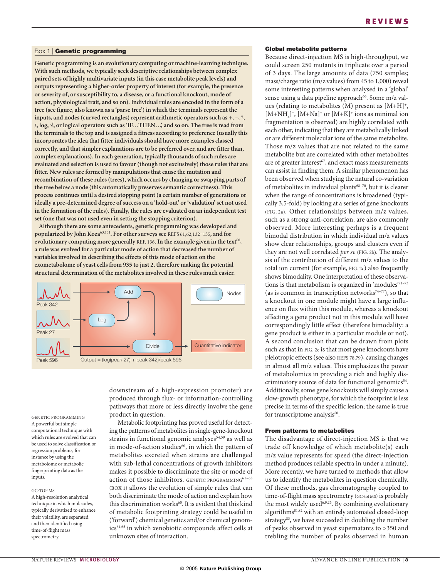## Box 1 | **Genetic programming**

**Genetic programming is an evolutionary computing or machine-learning technique. With such methods, we typically seek descriptive relationships between complex paired sets of highly multivariate inputs (in this case metabolite peak levels) and outputs representing a higher-order property of interest (for example, the presence or severity of, or susceptibility to, a disease, or a functional knockout, mode of action, physiological trait, and so on). Individual rules are encoded in the form of a tree (see figure, also known as a 'parse tree') in which the terminals represent the inputs, and nodes (curved rectangles) represent arithmetic operators such as +, –, \*, /, log,** √**, or logical operators such as 'IF…THEN…', and so on. The tree is read from the terminals to the top and is assigned a fitness according to preference (usually this incorporates the idea that fitter individuals should have more examples classed correctly, and that simpler explanations are to be preferred over, and are fitter than, complex explanations). In each generation, typically thousands of such rules are evaluated and selection is used to favour (though not exclusively) those rules that are fitter. New rules are formed by manipulations that cause the mutation and recombination of these rules (trees), which occurs by changing or swapping parts of the tree below a node (this automatically preserves semantic correctness). This process continues until a desired stopping point (a certain number of generations or ideally a pre-determined degree of success on a 'hold-out' or 'validation' set not used in the formation of the rules). Finally, the rules are evaluated on an independent test set (one that was not used even in setting the stopping criterion).**

**Although there are some antecedents, genetic progamming was developed and**  popularized by John Koza<sup>63,131</sup>. For other surveys see REFS 61,62,132-135, and for evolutionary computing more generally REF. 136**.** In the example given in the text<sup>60</sup>, **a rule was evolved for a particular mode of action that decreased the number of variables involved in describing the effects of this mode of action on the exometabolome of yeast cells from 935 to just 2, therefore making the potential structural determination of the metabolites involved in these rules much easier.**



GENETIC PROGRAMMING A powerful but simple computational technique with which rules are evolved that can be used to solve classification or regression problems, for instance by using the metabolome or metabolic fingerprinting data as the inputs.

#### GC-TOF MS

A high-resolution analytical technique in which molecules, typically derivatized to enhance their volatility, are separated and then identified using time-of-flight mass spectrometry.

downstream of a high-expression promoter) are produced through flux- or information-controlling pathways that more or less directly involve the gene product in question.

Metabolic footprinting has proved useful for detecting the patterns of metabolites in single-gene-knockout strains in functional genomic analyses<sup>54,59</sup> as well as in mode-of-action studies<sup>60</sup>, in which the pattern of metabolites excreted when strains are challenged with sub-lethal concentrations of growth inhibitors makes it possible to discriminate the site or mode of action of those inhibitors. GENETIC PROGRAMMING<sup>61-63</sup> (BOX 1) allows the evolution of simple rules that can both discriminate the mode of action and explain how this discrimination works<sup>60</sup>. It is evident that this kind of metabolic footprinting strategy could be useful in ('forward') chemical genetics and/or chemical genomics64,65 in which xenobiotic compounds affect cells at unknown sites of interaction.

## **Global metabolite patterns**

Because direct-injection MS is high-throughput, we could screen 250 mutants in triplicate over a period of 3 days. The large amounts of data (750 samples; mass/charge ratio (m/z values) from 45 to 1,000) reveal some interesting patterns when analysed in a 'global' sense using a data pipeline approach<sup>66</sup>. Some m/z values (relating to metabolites  $(M)$  present as  $[M+H]^+,$  $[M+NH<sub>4</sub>]<sup>+</sup>, [M+Na]<sup>+</sup>$  or  $[M+K]<sup>+</sup>$  ions as minimal ion fragmentation is observed) are highly correlated with each other, indicating that they are metabolically linked or are different molecular ions of the same metabolite. Those m/z values that are not related to the same metabolite but are correlated with other metabolites are of greater interest<sup>67</sup>, and exact mass measurements can assist in finding them. A similar phenomenon has been observed when studying the natural co-variation of metabolites in individual plants<sup>68-70</sup>, but it is clearer when the range of concentrations is broadened (typically 3.5-fold) by looking at a series of gene knockouts (FIG. 2a). Other relationships between m/z values, such as a strong anti-correlation, are also commonly observed. More interesting perhaps is a frequent bimodal distribution in which individual m/z values show clear relationships, groups and clusters even if they are not well correlated *per se* (FIG. 2b). The analysis of the contribution of different m/z values to the total ion current (for example, FIG. 2c) also frequently shows bimodality. One interpretation of these observations is that metabolism is organized in 'modules'71–73 (as is common in transcription networks $74-77$ ), so that a knockout in one module might have a large influence on flux within this module, whereas a knockout affecting a gene product not in this module will have correspondingly little effect (therefore bimodality: a gene product is either in a particular module or not). A second conclusion that can be drawn from plots such as that in FIG. 2c is that most gene knockouts have pleiotropic effects (see also REFS 78,79), causing changes in almost all m/z values. This emphasizes the power of metabolomics in providing a rich and highly discriminatory source of data for functional genomics<sup>54</sup>. Additionally, some gene knockouts will simply cause a slow-growth phenotype, for which the footprint is less precise in terms of the specific lesion; the same is true for transcriptome analysis<sup>80</sup>.

## **From patterns to metabolites**

The disadvantage of direct-injection MS is that we trade off knowledge of which metabolite(s) each m/z value represents for speed (the direct-injection method produces reliable spectra in under a minute). More recently, we have turned to methods that allow us to identify the metabolites in question chemically. Of these methods, gas chromatography coupled to time-of-flight mass spectrometry (GC-tof MS) is probably the most widely used<sup>6,9,26</sup>. By combining evolutionary algorithms81,82 with an entirely automated closed-loop strategy<sup>83</sup>, we have succeeded in doubling the number of peaks observed in yeast supernatants to >350 and trebling the number of peaks observed in human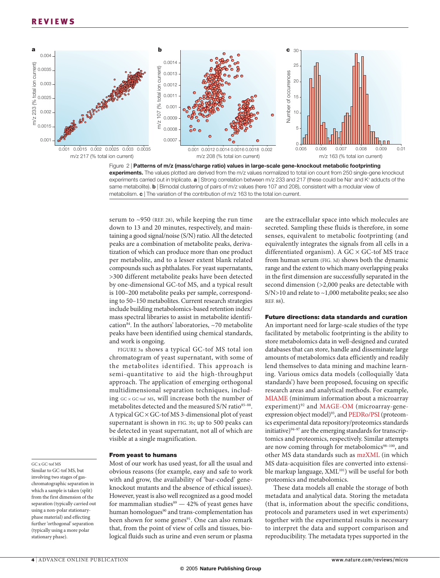

Figure 2 | **Patterns of m/z (mass/charge ratio) values in large-scale gene-knockout metabolic footprinting experiments.** The values plotted are derived from the m/z values normalized to total ion count from 250 single-gene knockout experiments carried out in triplicate. **a** | Strong correlation between m/z 233 and 217 (these could be Na+ and K+ adducts of the same metabolite). **b** | Bimodal clustering of pairs of m/z values (here 107 and 208), consistent with a modular view of metabolism. **c** | The variation of the contribution of m/z 163 to the total ion current.

serum to  $\sim$ 950 (REF. 28), while keeping the run time down to 13 and 20 minutes, respectively, and maintaining a good signal/noise (S/N) ratio. All the detected peaks are a combination of metabolite peaks, derivatization of which can produce more than one product per metabolite, and to a lesser extent blank related compounds such as phthalates. For yeast supernatants, >300 different metabolite peaks have been detected by one-dimensional GC-tof MS, and a typical result is 100–200 metabolite peaks per sample, corresponding to 50–150 metabolites. Current research strategies include building metabolomics-based retention index/ mass spectral libraries to assist in metabolite identification<sup>84</sup>. In the authors' laboratories,  $\sim$ 70 metabolite peaks have been identified using chemical standards, and work is ongoing.

FIGURE 3a shows a typical GC-tof MS total ion chromatogram of yeast supernatant, with some of the metabolites identified. This approach is semi-quantitative to aid the high-throughput approach. The application of emerging orthogonal multidimensional separation techniques, including  $GC \times GC$  tof MS, will increase both the number of metabolites detected and the measured S/N ratio<sup>85-88</sup>. A typical GC × GC-tof MS 3-dimensional plot of yeast supernatant is shown in FIG. 3b; up to 500 peaks can be detected in yeast supernatant, not all of which are visible at a single magnification.

## **From yeast to humans**

Most of our work has used yeast, for all the usual and obvious reasons (for example, easy and safe to work with and grow, the availability of 'bar-coded' geneknockout mutants and the absence of ethical issues). However, yeast is also well recognized as a good model for mammalian studies $^{89}$  - 42% of yeast genes have human homologues<sup>90</sup> and trans-complementation has been shown for some genes<sup>91</sup>. One can also remark that, from the point of view of cells and tissues, biological fluids such as urine and even serum or plasma

are the extracellular space into which molecules are secreted. Sampling these fluids is therefore, in some senses, equivalent to metabolic footprinting (and equivalently integrates the signals from all cells in a differentiated organism). A GC  $\times$  GC-tof MS trace from human serum (FIG. 3d) shows both the dynamic range and the extent to which many overlapping peaks in the first dimension are successfully separated in the second dimension (>2,000 peaks are detectable with S/N>10 and relate to ~1,000 metabolite peaks; see also REF. 88).

## **Future directions: data standards and curation**

An important need for large-scale studies of the type facilitated by metabolic footprinting is the ability to store metabolomics data in well-designed and curated databases that can store, handle and disseminate large amounts of metabolomics data efficiently and readily lend themselves to data mining and machine learning. Various omics data models (colloquially 'data standards') have been proposed, focusing on specific research areas and analytical methods. For example, MIAME (minimum information about a microarray experiment)<sup>92</sup> and MAGE-OM (microarray-geneexpression object model)<sup>93</sup>, and PEDRo/PSI (proteomics experimental data repository/proteomics standards initiative)94–97 are the emerging standards for transcriptomics and proteomics, respectively. Similar attempts are now coming through for metabolomics<sup>98-100</sup>, and other MS data standards such as mzXML (in which MS data-acquisition files are converted into extensible markup language, XML<sup>101</sup>) will be useful for both proteomics and metabolomics.

These data models all enable the storage of both metadata and analytical data. Storing the metadata (that is, information about the specific conditions, protocols and parameters used in wet experiments) together with the experimental results is necessary to interpret the data and support comparison and reproducibility. The metadata types supported in the

#### GC x GC-tof MS

Similar to GC-tof MS, but involving two stages of gaschromatographic separation in which a sample is taken (split) from the first dimension of the separation (typically carried out using a non-polar stationaryphase material) and effecting further 'orthogonal' separation (typically using a more polar stationary phase).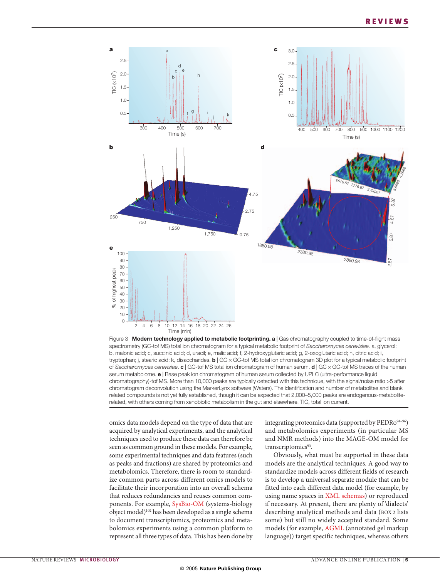



omics data models depend on the type of data that are acquired by analytical experiments, and the analytical techniques used to produce these data can therefore be seen as common ground in these models. For example, some experimental techniques and data features (such as peaks and fractions) are shared by proteomics and metabolomics. Therefore, there is room to standardize common parts across different omics models to facilitate their incorporation into an overall schema that reduces redundancies and reuses common components. For example, SysBio-OM (systems-biology object model)102 has been developed as a single schema to document transcriptomics, proteomics and metabolomics experiments using a common platform to represent all three types of data. This has been done by integrating proteomics data (supported by PEDRo<sup>94-96</sup>) and metabolomics experiments (in particular MS and NMR methods) into the MAGE-OM model for transcriptomics<sup>93</sup>.

Obviously, what must be supported in these data models are the analytical techniques. A good way to standardize models across different fields of research is to develop a universal separate module that can be fitted into each different data model (for example, by using name spaces in XML schemas) or reproduced if necessary. At present, there are plenty of 'dialects' describing analytical methods and data (BOX 2 lists some) but still no widely accepted standard. Some models (for example, AGML (annotated gel markup language)) target specific techniques, whereas others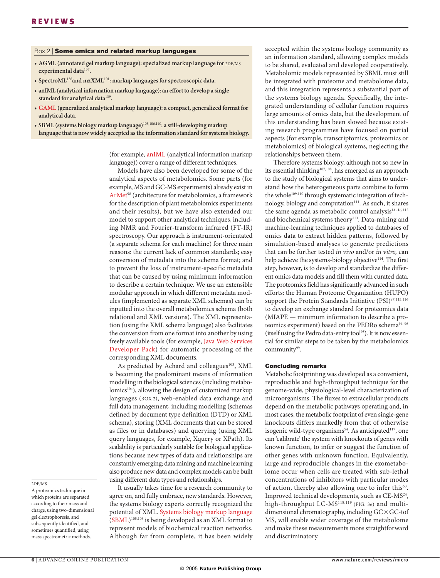## Box 2 | **Some omics and related markup languages**

- **AGML (annotated gel markup language): specialized markup language for** 2DE/MS **experimental data**<sup>137</sup>**.**
- **SpectroML**<sup>138</sup>**and mzXML**<sup>101</sup>**: markup languages for spectroscopic data.**
- **anIML (analytical information markup language): an effort to develop a single standard for analytical data**<sup>139</sup>**.**
- **GAML (generalized analytical markup language): a compact, generalized format for analytical data.**
- **SBML (systems biology markup language)**105,106,140**: a still-developing markup language that is now widely accepted as the information standard for systems biology.**

(for example, anIML (analytical information markup language)) cover a range of different techniques.

Models have also been developed for some of the analytical aspects of metabolomics. Some parts (for example, MS and GC-MS experiments) already exist in ArMet<sup>98</sup> (architecture for metabolomics, a framework for the description of plant metabolomics experiments and their results), but we have also extended our model to support other analytical techniques, including NMR and Fourier-transform infrared (FT-IR) spectroscopy. Our approach is instrument-orientated (a separate schema for each machine) for three main reasons: the current lack of common standards; easy conversion of metadata into the schema format; and to prevent the loss of instrument-specific metadata that can be caused by using minimum information to describe a certain technique. We use an extensible modular approach in which different metadata modules (implemented as separate XML schemas) can be inputted into the overall metabolomics schema (both relational and XML versions). The XML representation (using the XML schema language) also facilitates the conversion from one format into another by using freely available tools (for example, Java Web Services Developer Pack) for automatic processing of the corresponding XML documents.

As predicted by Achard and colleagues<sup>103</sup>, XML is becoming the predominant means of information modelling in the biological sciences (including metabolomics<sup>104</sup>), allowing the design of customized markup languages (BOX 2), web-enabled data exchange and full data management, including modelling (schemas defined by document type definition (DTD) or XML schema), storing (XML documents that can be stored as files or in databases) and querying (using XML query languages, for example, Xquery or XPath). Its scalability is particularly suitable for biological applications because new types of data and relationships are constantly emerging; data mining and machine learning also produce new data and complex models can be built using different data types and relationships.

It usually takes time for a research community to agree on, and fully embrace, new standards. However, the systems biology experts correctly recognized the potential of XML. Systems biology markup language (SBML)105,106 is being developed as an XML format to represent models of biochemical reaction networks. Although far from complete, it has been widely accepted within the systems biology community as an information standard, allowing complex models to be shared, evaluated and developed cooperatively. Metabolomic models represented by SBML must still be integrated with proteome and metabolome data, and this integration represents a substantial part of the systems biology agenda. Specifically, the integrated understanding of cellular function requires large amounts of omics data, but the development of this understanding has been slowed because existing research programmes have focused on partial aspects (for example, transcriptomics, proteomics or metabolomics) of biological systems, neglecting the relationships between them.

Therefore systems biology, although not so new in its essential thinking<sup>107,108</sup>, has emerged as an approach to the study of biological systems that aims to understand how the heterogeneous parts combine to form the whole<sup>109,110</sup> through systematic integration of technology, biology and computation<sup>111</sup>. As such, it shares the same agenda as metabolic control analysis<sup>14-16,112</sup> and biochemical systems theory<sup>113</sup>. Data-mining and machine-learning techniques applied to databases of omics data to extract hidden patterns, followed by simulation-based analyses to generate predictions that can be further tested *in vivo* and/or *in vitro,* can help achieve the systems-biology objective<sup>114</sup>. The first step, however, is to develop and standardize the different omics data models and fill them with curated data. The proteomics field has significantly advanced in such efforts: the Human Proteome Organization (HUPO) support the Protein Standards Initiative (PSI)97,115,116 to develop an exchange standard for proteomics data (MIAPE — minimum information to describe a proteomics experiment) based on the PEDRo schema<sup>94-96</sup> (itself using the Pedro data-entry tool<sup>95</sup>). It is now essential for similar steps to be taken by the metabolomics community<sup>99</sup>.

## **Concluding remarks**

Metabolic footprinting was developed as a convenient, reproducible and high-throughput technique for the genome-wide, physiological-level characterization of microorganisms. The fluxes to extracellular products depend on the metabolic pathways operating and, in most cases, the metabolic footprint of even single-gene knockouts differs markedly from that of otherwise isogenic wild-type organisms<sup>54</sup>. As anticipated<sup>117</sup>, one can 'calibrate' the system with knockouts of genes with known function, to infer or suggest the function of other genes with unknown function. Equivalently, large and reproducible changes in the exometabolome occur when cells are treated with sub-lethal concentrations of inhibitors with particular modes of action, thereby also allowing one to infer this<sup>60</sup>. Improved technical developments, such as CE-MS<sup>24</sup>, high-throughput LC-MS<sup>118,119</sup> (FIG. 3e) and multidimensional chromatography, including  $GC \times GC$ -tof MS, will enable wider coverage of the metabolome and make these measurements more straightforward and discriminatory.

## 2DE/MS

A proteomics technique in which proteins are separated according to their mass and charge, using two-dimensional gel electrophoresis, and subsequently identified, and sometimes quantified, using mass spectrometric methods.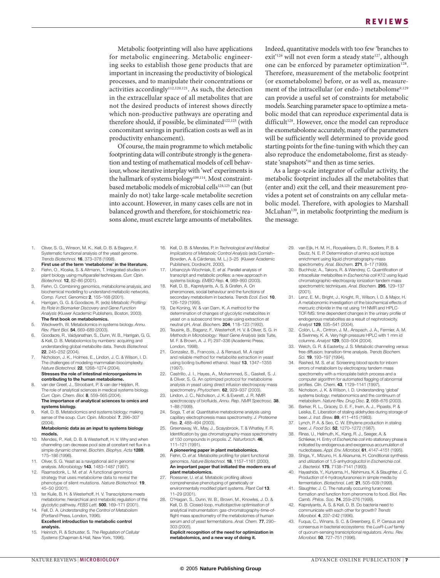Metabolic footprinting will also have applications for metabolic engineering. Metabolic engineering seeks to establish those gene products that are important in increasing the productivity of biological processes, and to manipulate their concentrations or activities accordingly<sup>112,120,121</sup>. As such, the detection in the extracellular space of all metabolites that are not the desired products of interest shows directly which non-productive pathways are operating and therefore should, if possible, be eliminated<sup>122,123</sup> (with concomitant savings in purification costs as well as in productivity enhancement).

Of course, the main programme to which metabolic footprinting data will contribute strongly is the generation and testing of mathematical models of cell behaviour, whose iterative interplay with 'wet' experiments is the hallmark of systems biology<sup>109,114</sup>. Most constraintbased metabolic models of microbial cells<sup>124,125</sup> can (but mainly do not) take large-scale metabolite secretion into account. However, in many cases cells are not in balanced growth and therefore, for stoichiometric reasons alone, must excrete large amounts of metabolites. Indeed, quantitative models with too few 'branches to exit<sup>'126</sup> will not even form a steady state<sup>127</sup>, although one can be enforced by parameter optimization<sup>128</sup>. Therefore, measurement of the metabolic footprint (or exometabolome) before, or as well as, measurement of the intracellular (or endo-) metabolome9,129 can provide a useful set of constraints for metabolic models. Searching parameter space to optimize a metabolic model that can reproduce experimental data is difficult<sup>128</sup>. However, once the model can reproduce the exometabolome accurately, many of the parameters will be sufficiently well determined to provide good starting points for the fine-tuning with which they can also reproduce the endometabolome, first as steadystate 'snapshots'16 and then as time series.

As a large-scale integrator of cellular activity, the metabolic footprint includes all the metabolites that (enter and) exit the cell, and their measurement provides a potent set of constraints on any cellular metabolic model. Therefore, with apologies to Marshall McLuhan<sup>130</sup>, in metabolic footprinting the medium is the message.

- 1. Oliver, S. G., Winson, M. K., Kell, D. B. & Baganz, F. Systematic functional analysis of the yeast genome. *Trends Biotechnol.* **16**, 373–378 (1998).
- **First use of the term 'metabolome' in the literature.** 2. Fiehn, O., Kloska, S. & Altmann, T. Integrated studies on plant biology using multiparallel techniques. *Curr. Opin. Biotechnol.* **12**, 82–86 (2001).
- 3. Fiehn, O. Combining genomics, metabolome analysis, and biochemical modelling to understand metabolic networks. *Comp. Funct. Genomics* **2**, 155–168 (2001).
- 4. Harrigan, G. G. & Goodacre, R. (eds) *Metabolic Profiling: Its Role in Biomarker Discovery and Gene Function Analysis* (Kluwer Academic Publishers, Boston, 2003). **The first book on metabolomics.**
- 5. Weckwerth, W. Metabolomics in systems biology. *Annu. Rev. Plant Biol.* **54**, 669–689 (2003).
- 6. Goodacre, R., Vaidyanathan, S., Dunn, W. B., Harrigan, G. G. & Kell, D. B. Metabolomics by numbers: acquiring and understanding global metabolite data. *Trends Biotechnol.*  **22**, 245–252 (2004).
- 7. Nicholson, J. K., Holmes, E., Lindon, J. C. & Wilson, I. D. The challenges of modeling mammalian biocomplexity. *Nature Biotechnol.* **22**, 1268–1274 (2004). **Stresses the role of intestinal microorganisms in contributing to the human metabolome.**
- 8. van der Greef, J., Stroobant, P. & van der Heijden, R. The role of analytical sciences in medical systems biology. *Curr. Opin. Chem. Biol.* **8**, 559–565 (2004). **The importance of analytical sciences to omics and systems biology.**
- 9. Kell, D. B. Metabolomics and systems biology: making sense of the soup. *Curr. Opin. Microbiol.* **7**, 296–307  $(2004)$

#### **Metabolomic data as an input to systems biology models.**

- 10. Mendes, P., Kell, D. B. & Westerhoff, H. V. Why and when channeling can decrease pool size at constant net flux in a simple dynamic channel. *Biochim. Biophys. Acta* **1289**, 175–186 (1996).
- 11. Oliver, S. G. Yeast as a navigational aid in genome analysis. *Microbiology* **143**, 1483–1487 (1997).
- 12. Raamsdonk, L. M. *et al.* A functional genomics strategy that uses metabolome data to reveal the phenotype of silent mutations. *Nature Biotechnol.* **19**, 45–50 (2001).
- 13. ter Kuile, B. H. & Westerhoff, H. V. Transcriptome meets metabolome: hierarchical and metabolic regulation of the glycolytic pathway. *FEBS Lett.* **500**, 169–171 (2001).
- 14. Fell, D. A. *Understanding the Control of Metabolism* (Portland Press, London, 1996). **Excellent introduction to metabolic control**

#### **analysis.** 15. Heinrich, R. & Schuster, S. *The Regulation of Cellular Systems* (Chapman & Hall, New York, 1996).

- 16. Kell, D. B. & Mendes, P. in *Technological and Medical Implications of Metabolic Control Analysis* (eds Cornish– Bowden, A. & Cárdenas, M. L.) 3–25 (Kluwer Academic Publishers, Dordrecht, 2000).
- 17. Urbanczyk-Wochniak, E. *et al.* Parallel analysis of transcript and metabolic profiles: a new approach in systems biology. *EMBO Rep.* **4**, 989–993 (2003).
- 18. Kell, D. B., Kaprelyants, A. S. & Grafen, A. On pheromones, social behaviour and the functions of secondary metabolism in bacteria. *Trends Ecol. Evol.* **10**, 126–129 (1995).
- 19. De Koning, W. & van Dam, K. A method for the determination of changes of glycolytic metabolites in yeast on a subsecond time scale using extraction at neutral pH. *Anal. Biochem.* **204**, 118–123 (1992).
- 20. Teusink, B., Baganz, F., Westerhoff, H. V. & Oliver, S. G. in *Methods in Microbiology: Yeast Gene Analysis* (eds Tuite, M. F. & Brown, A. J. P.) 297–336 (Academic Press, London, 1998).
- 21. Gonzalez, B., Francois, J. & Renaud, M. A rapid and reliable method for metabolite extraction in yeast using boiling buffered ethanol. *Yeast* **13**, 1347–1355 (1997).
- 22. Castrillo, J. I., Hayes, A., Mohammed, S., Gaskell, S. J. & Oliver, S. G. An optimized protocol for metabolome analysis in yeast using direct infusion electrospray mass
- spectrometry. *Phytochem.* **62**, 929–937 (2003). 23. Lindon, J. C., Nicholson, J. K. & Everett, J. R. NMR spectroscopy of biofluids. *Annu. Rep. NMR Spectrosc.* **38**, 1–88 (1999).
- 24. Soga, T. *et al.* Quantitative metabolome analysis using capillary electrophoresis mass spectrometry. *J. Proteome Res.* **2**, 488–494 (2003).
- 25. Greenaway, W., May, J., Scaysbrook, T. & Whatley, F. R. Identification by gas chromatography-mass spectrometry of 150 compounds in propolis. *Z. Naturforsch.* **46**, 111–121 (1991).
- **A pioneering paper in plant metabolomics.** 26. Fiehn, O. *et al.* Metabolite profiling for plant functional genomics. *Nature Biotechnol.* **18**, 1157–1161 (2000). **An important paper that initiated the modern era of plant metabolomics.**
- 27. Roessner, U. *et al.* Metabolic profiling allows comprehensive phenotyping of genetically or environmentally modified plant systems. *Plant Cell* **13**, 11–29 (2001).
- 28. O'Hagan, S., Dunn, W. B., Brown, M., Knowles, J. D. & Kell, D. B. Closed-loop, multiobjective optimisation of analytical instrumentation: gas-chromatography-time-offlight mass spectrometry of the metabolomes of human serum and of yeast fermentations. *Anal. Chem.* **77**, 290– 303 (2005).

**Explicit recognition of the need for optimization in metabolomics, and a new way of doing it.**

- 29. van Eijk, H. M. H., Rooyakkers, D. R., Soeters, P. B. & Deutz, N. E. P. Determination of amino acid isotope enrichment using liquid chromatography-mass spectrometry. *Anal. Biochem.* **271**, 8–17 (1999).
- 30. Buchholz, A., Takors, R. & Wandrey, C. Quantification of intracellular metabolites in *Escherichia coli* K12 using liquid chromatographic–electrospray ionization tandem mass spectrometric techniques. *Anal. Biochem.* **295**, 129–137 (2001).
- 31. Lenz, E. M., Bright, J., Knight, R., Wilson, I. D. & Major, H. A metabonomic investigation of the biochemical effects of mercuric chloride in the rat using 1H NMR and HPLC-TOF/MS: time dependent changes in the urinary profile of endogenous metabolites as a result of nephrotoxicity. *Analyst* **129**, 535–541 (2004).
- 32. Colón, L. A., Cintron, J. M., Anspach, J. A., Fermier, A. M. & Swinney, K. A. Very high pressure HPLC with 1 mm id columns. *Analyst* **129**, 503–504 (2004).
- 33. Welch, G. R. & Easterby, J. S. Metabolic channeling versus free diffusion: transition-time analysis. *Trends Biochem. Sci.* **19**, 193–197 (1994).
- 34. Rashed, M. S. *et al.* Screening blood spots for inborn errors of metabolism by electrospray tandem mass spectrometry with a microplate batch process and a computer algorithm for automated flagging of abnormal profiles. *Clin. Chem.* **43**, 1129–1141 (1997).
- 35. Nicholson, J. K. & Wilson, I. D. Understanding 'global' systems biology: metabonomics and the continuum of metabolism. *Nature Rev. Drug Disc.* **2**, 668–676 (2003).
- 36. Barker, R. L., Gracey, D. E. F., Irwin, A. J., Pipasts, P. & Leiska, E. Liberation of staling aldehydes during storage of beer. *J. Inst. Brew.* **89**, 411–415 (1983).
- 37. Lynch, P. A. & Seo, C. W. Ethylene production in staling beer. *J. Food Sci.* **52**, 1270–1272 (1987).
- 38. Rinas, U., Hellmuth, K., Kang, R. J., Seeger, A. & Schlieker, H. Entry of *Escherichia coli* into stationary phase is indicated by endogenous and exogenous accumulation of nucleobases. *Appl. Env. Microbiol.* **61**, 4147–4151 (1995).
- 39. Shiga, Y., Mizuno, H. & Akanuma, H. Conditional synthesis and utilization of 1,5-anhydroglucitol in *Escherichia coli*. *J. Bacteriol.* **175**, 7138–7141 (1993).
- 40. Hayashida, Y., Kuriyama, H., Nishimura, K. & Slaughter, J. C. Production of 4-hydroxyfuranones in simple media by fermentation. *Biotechnol. Lett.* **21**, 505–509 (1999).
- 41. Slaughter, J. C. The naturally occurring furanones: formation and function from pheromone to food. *Biol. Rev. Camb. Philos. Soc.* **74**, 259–276 (1999).
- 42. Kaprelyants, A. S. & Kell, D. B. Do bacteria need to communicate with each other for growth? *Trends Microbiol.* **4**, 237–242 (1996).
- 43. Fuqua, C., Winans, S. C. & Greenberg, E. P. Census and consensus in bacterial ecosystems: the *LuxR–LuxI* family of quorum-sensing transcriptional regulators. *Annu. Rev. Microbiol.* **50**, 727–751 (1996).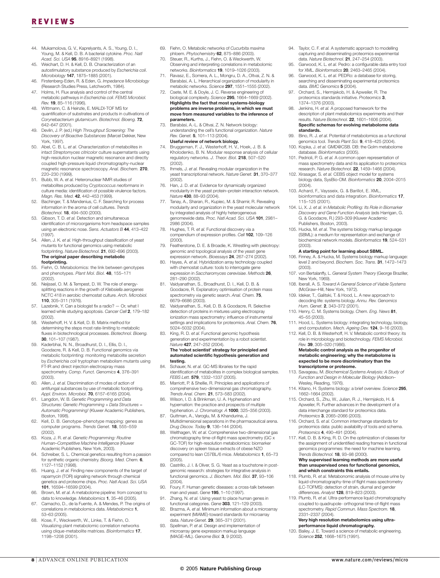## REVIEWS

- 44. Mukamolova, G. V., Kaprelyants, A. S., Young, D. I., Young, M. & Kell, D. B. A bacterial cytokine. *Proc. Natl Acad. Sci. USA* **95**, 8916–8921 (1998).
- 45. Weichart, D. H. & Kell, D. B. Characterization of an autostimulatory substance produced by *Escherichia coli*. *Microbiology* **147**, 1875–1885 (2001).
- 46. Firstenberg-Eden, R. & Eden, G. *Impedance Microbiology* (Research Studies Press, Letchworth, 1984).
- 47. Holms, H. Flux analysis and control of the central metabolic pathways in *Escherichia coli*. *FEMS Microbiol. Rev.* **19**, 85–116 (1996).
- 48. Wittmann, C. & Heinzle, E. MALDI-TOF MS for quantification of substrates and products in cultivations of *Corynebacterium glutamicum*. *Biotechnol. Bioeng.* **72**, 642–647 (2001).
- 49. Devlin, J. P. (ed.) *High Throughput Screening: The Discovery of Bioactive Substances* (Marcel Dekker, New York, 1997).
- 50. Abel, C. B. L. *et al.* Characterization of metabolites in intact *Streptomyces citricolor* culture supernatants using high-resolution nuclear magnetic resonance and directly coupled high-pressure liquid chromatography-nuclear magnetic resonance spectroscopy. *Anal. Biochem.* **270**, 220–230 (1999).
- 51. Bubb, W. A. *et al.* Heteronuclear NMR studies of metabolites produced by *Cryptococcus neoformans* in culture media: identification of possible virulence factors. *Magn. Res. Med.* **42**, 442–453 (1999).
- 52. Bachinger, T. & Mandenius, C. F. Searching for process information in the aroma of cell cultures. *Trends Biotechnol.* **18**, 494–500 (2000).
- 53. Gibson, T. D. *et al.* Detection and simultaneous identification of microorganisms from headspace samples using an electronic nose. *Sens. Actuators B* **44**, 413–422 (1997).
- 54. Allen, J. K. *et al.* High-throughput classification of yeast mutants for functional genomics using metabolic footprinting. *Nature Biotechnol.* **21**, 692–696 (2003). **The original paper describing metabolic footprinting.**
- 55. Fiehn, O. Metabolomics: the link between genotypes and phenotypes. *Plant Mol. Biol.* **48**, 155–171  $(2002)$
- 56. Neijssel, O. M. & Tempest, D. W. The role of energysplitting reactions in the growth of *Klebsiella aerogenes* NCTC 418 in aerobic chemostat culture. *Arch. Microbiol.*  **110**, 305–311 (1976).
- 57. Lazebnik, Y. Can a biologist fix a radio? Or, what I learned while studying apoptosis. *Cancer Cell* **2**, 179–182 (2002).
- 58. Westerhoff, H. V. & Kell, D. B. Matrix method for determining the steps most rate-limiting to metabolic fluxes in biotechnological processes. *Biotechnol. Bioeng.*  **30**, 101–107 (1987).
- 59. Kaderbhai, N. N., Broadhurst, D. I., Ellis, D. I., Goodacre, R. & Kell, D. B. Functional genomics via metabolic footprinting: monitoring metabolite secretion by *Escherichia coli* tryptophan metabolism mutants using FT-IR and direct injection electrospray mass spectrometry. *Comp. Funct. Genomics* **4**, 376–391 (2003).
- 60. Allen, J. *et al.* Discrimination of modes of action of antifungal substances by use of metabolic footprinting. *Appl. Environ. Microbiol.* **70**, 6157–6165 (2004).
- 61. Langdon, W. B. *Genetic Programming and Data Structures: Genetic Programming + Data Structures = Automatic Programming!* (Kluwer Academic Publishers, Boston, 1998).
- 62. Kell, D. B. Genotype–phenotype mapping: genes as computer programs. *Trends Genet.* **18**, 555–559 (2002).
- 63. Koza, J. R. *et al. Genetic Programming: Routine Human–Competitive Machine Intelligence* (Kluwer Academic Publishers, New York, 2003).
- 64. Schreiber, S. L. Chemical genetics resulting from a passion for synthetic organic chemistry. *Bioorg. Med. Chem.* **6**, 1127–1152 (1998).
- 65. Huang, J. *et al.* Finding new components of the target of rapamycin (TOR) signaling network through chemical genetics and proteome chips. *Proc. Natl Acad. Sci. USA* **101**, 16594–16599 (2004).
- 66. Brown, M. *et al.* A metabolome pipeline: from concept to data to knowledge. *Metabolomics* **1**, 35–46 (2005).
- 67. Camacho, D., de la Fuente, A. & Mendes, P. The origins of correlations in metabolomics data. *Metabolomics* **1**, 53–63 (2005). 68. Kose, F., Weckwerth, W., Linke, T. & Fiehn, O.
- Visualizing plant metabolomic correlation networks using clique-metabolite matrices. *Bioinformatics* **17**, 1198–1208 (2001).
- 69. Fiehn, O. Metabolic networks of *Cucurbita maxima* phloem. *Phytochemistry* **62**, 875–886 (2003).
- 70. Steuer, R., Kurths, J., Fiehn, O. & Weckwerth, W. Observing and interpreting correlations in metabolomic networks. *Bioinformatics* **19**, 1019–1026 (2003).
- 71. Ravasz, E., Somera, A. L., Mongru, D. A., Oltvai, Z. N. & Barabási, A. L. Hierarchical organization of modularity in metabolic networks. *Science* **297**, 1551–1555 (2002).
- 72. Csete, M. E. & Doyle, J. C. Reverse engineering of biological complexity. *Science* **295**, 1664–1669 (2002). **Highlights the fact that most systems-biology problems are inverse problems, in which we must move from measured variables to the inference of parameters.**
- Barabási, A.-L. & Oltvai, Z. N. Network biology: understanding the cell's functional organization. *Nature Rev. Genet.* **5**, 101–113 (2004). **Useful review of network biology.**
- 74. Bruggeman, F. J., Westerhoff, H. V., Hoek, J. B. & Kholodenko, B. N. Modular response analysis of cellular regulatory networks. *J. Theor. Biol.* **218**, 507–520  $(2002)$
- 75. Ihmels, J. *et al.* Revealing modular organization in the yeast transcriptional network. *Nature Genet.* **31**, 370–377 (2002).
- 76. Han, J. D. *et al.* Evidence for dynamically organized modularity in the yeast protein–protein interaction network. *Nature* **430**, 88–93 (2004).
- 77. Tanay, A., Sharan, R., Kupiec, M. & Shamir, R. Revealing modularity and organization in the yeast molecular network by integrated analysis of highly heterogeneous genomewide data. *Proc. Natl Acad. Sci. USA* **101**, 2981– 2986 (2004).
- 78. Hughes, T. R. *et al.* Functional discovery via a compendium of expression profiles. *Cell* **102**, 109–126 (2000).
- 79. Featherstone, D. E. & Broadie, K. Wrestling with pleiotropy: genomic and topological analysis of the yeast gene expression network. *Bioessays* **24**, 267–274 (2002).
- Hayes, A. *et al.* Hybridization array technology coupled with chemostat culture: tools to interrogate gene expression in *Saccharomyces cerevisiae*. *Methods* **26**, 281–290 (2002).
- 81. Vaidyanathan, S., Broadhurst, D. I., Kell, D. B. & Goodacre, R. Explanatory optimisation of protein mass spectrometry via genetic search. *Anal. Chem.* **75**, 6679–6686 (2003).
- Vaidyanathan, S., Kell, D. B. & Goodacre, R. Selective detection of proteins in mixtures using electrospray ionization mass spectrometry: influence of instrumental settings and implications for proteomics. *Anal. Chem.* **76**, 5024–5032 (2004).
- King, R. D. et al. Functional genomic hypothesis generation and experimentation by a robot scientist. *Nature* **427**, 247–252 (2004). **The 'robot scientist' strategy for principled and automated scientific hypothesis generation and testing.**
- 84. Schauer, N. *et al.* GC-MS libraries for the rapid identification of metabolites in complex biological samples. *FEBS Lett.* **579**, 1332–1337 (2005).
- 85. Marriott, P. & Shellie, R. Principles and applications of comprehensive two-dimensional gas chromatography. *Trends Anal. Chem.* **21**, 573–583 (2002).
- 86. Wilson, I. D. & Brinkman, U. A. Hyphenation and hypernation: the practice and prospects of multiple hyphenation. *J. Chromatogr. A* **1000**, 325–356 (2003).
- Guttman, A., Varoglu, M. & Khandurina, J. Multidimensional separations in the pharmaceutical arena. *Drug Discov. Today* **9**, 136–144 (2004).
- 88. Welthagen, W. *et al.* Comprehensive two-dimensional gas chromatography time-of-flight mass spectrometry (GC x GC-TOF) for high-resolution metabolomics: biomarker discovery on spleen tissue extracts of obese NZO compared to lean C57BL/6 mice. *Metabolomics* **1**, 65–73 (2005).
- 89. Castrillo, J. J. & Oliver, S. G. Yeast as a touchstone in postgenomic research: strategies for integrative analysis in functional genomics. *J. Biochem. Mol. Biol.* **37**, 93–106 (2004).
- 90. Foury, F. Human genetic diseases: a cross-talk between man and yeast. *Gene* **195**, 1–10 (1997).
- 91. Zhang, N. *et al.* Using yeast to place human genes in functional categories. *Gene* **303**, 121–129 (2003).
- 92. Brazma, A. *et al.* Minimum information about a microarray experiment (MIAME)-toward standards for microarray data. *Nature Genet.* **29**, 365–371 (2001).
- 93. Spellman, P. *et al.* Design and implementation of microarray gene expression markup language (MAGE–ML). *Genome Biol.* **3**, 9 (2002).
- 94. Taylor, C. F. *et al.* A systematic approach to modelling capturing and disseminating proteomics experimental data. *Nature Biotechnol.* **21**, 247–254 (2003).
- 95. Garwood, K. L. *et al.* Pedro: a configurable data entry tool for XML. *Bioinformatics* **20**, 2463–2465 (2004).
- 96. Garwood, K. L. *et al.* PEDRo: a database for storing, searching and disseminating experimental proteomics data. *BMC Genomics* **5** (2004).
- 97. Orchard, S., Hermjakob, H. & Apweiler, R. The proteomics standards initiative. *Proteomics* **3**, 1374–1376 (2003).
- 98. Jenkins, H. *et al.* A proposed framework for the description of plant metabolomics experiments and their results. *Nature Biotechnol.* **22**, 1601–1606 (2004). **Specific schemas for evolving metabolome data standards.**
- 99. Bino, R. J. *et al.* Potential of metabolomics as a functional genomics tool. *Trends Plant Sci.* **9**, 418–425 (2004).
- 100. Kopka, J. *et al.* GMD@CSB. DB: the Golm metabolome database. *Bioinformatics* (2005).
- 101. Pedrioli, P. G. *et al.* A common open representation of mass spectrometry data and its application to proteomics research. *Nature Biotechnol.* **22**, 1459–1466 (2004).
- 102. Xirasagar, S. *et al.* CEBS object model for systems biology data, SysBio-OM. *Bioinformatics* **20**, 2004–2015 (2004).
- 103. Achard, F., Vaysseix, G. & Barillot, E. XML, bioinformatics and data integration. *Bioinformatics* **17**, 115–125 (2001).
- 104. Li, X. J. *et al.* in *Metabolic Profiling: Its Role in Biomarker Discovery and Gene Function Analysis* (eds Harrigan, G. G. & Goodacre, R.) 293–309 (Kluwer Academic Publishers, Boston, 2003).
- 105. Hucka, M. *et al.* The systems biology markup language (SBML): a medium for representation and exchange of biochemical network models. *Bioinformatics* **19**, 524–531 (2003).

## **A starting point for learning about SBML.**

- 106. Finney, A. & Hucka, M. Systems biology markup language: level 2 and beyond. *Biochem. Soc. Trans.* **31**, 1472–1473 (2003).
- 107. von Bertalanffy, L. *General System Theory* (George Braziller, New York, 1969).
- 108. Iberall, A. S. *Toward A General Science of Viable Systems* (McGraw–Hill, New York, 1972).
- 109. Ideker, T., Galitski, T. & Hood, L. A new approach to decoding life: systems biology. *Annu. Rev. Genomics Hum. Genet.* **2**, 343–372 (2001).
- 110. Henry, C. M. Systems biology. *Chem. Eng. News* **81**, 45–55 (2003).
- 111. Hood, L. Systems biology: integrating technology, biology, and computation. *Mech. Ageing Dev.* **124**, 9–16 (2003).
- 112. Kell, D. B. & Westerhoff, H. V. Metabolic control theory: its role in microbiology and biotechnology. *FEMS Microbiol. Rev.* **39**, 305–320 (1986).

#### **Metabolic control analysis as the progenitor of metabolic engineering; why the metabolome is expected to be more discriminatory than the transcriptome or proteome.**

- 113. Savageau, M. *Biochemical Systems Analysis: A Study of Function and Design in Molecular Biology* (Addison– Wesley, Reading, 1976).
- 114. Kitano, H. Systems biology: a brief overview. *Science* **295**, 1662–1664 (2002).
- 115. Orchard, S., Zhu, W., Julian, R. J., Hermjakob, H. & Apweiler, R. Further advances in the development of a data interchange standard for proteomics data. *Proteomics* **3**, 2065–2066 (2003).
- 116. Orchard, S. *et al.* Common interchange standards for proteomics data: public availability of tools and schema. *Proteomics* **4**, 490–491 (2004).
- 117. Kell, D. B. & King, R. D. On the optimization of classes for the assignment of unidentified reading frames in functional genomics programmes: the need for machine learning. *Trends Biotechnol.* **18**, 93–98 (2000). **Why supervised learning methods are more useful than unsupervised ones for functional genomics, and which constraints this entails.**
- 118. Plumb, R. *et al.* Metabonomic analysis of mouse urine by liquid-chromatography-time of flight mass spectrometry (LC-TOFMS): detection of strain, diurnal and gender differences. *Analyst* **128**, 819–823 (2003).
- 119. Plumb, R. *et al.* Ultra-performance liquid chromatography coupled to quadrupole- orthogonal time-of-flight mass spectrometry. *Rapid Commun. Mass Spectrom.* **18**, 2331–2337 (2004).

#### **Very high resolution metabolomics using ultraperformance liquid chromatography.**

120. Bailey, J. E. Toward a science of metabolic engineering. *Science* **252**, 1668–1675 (1991).